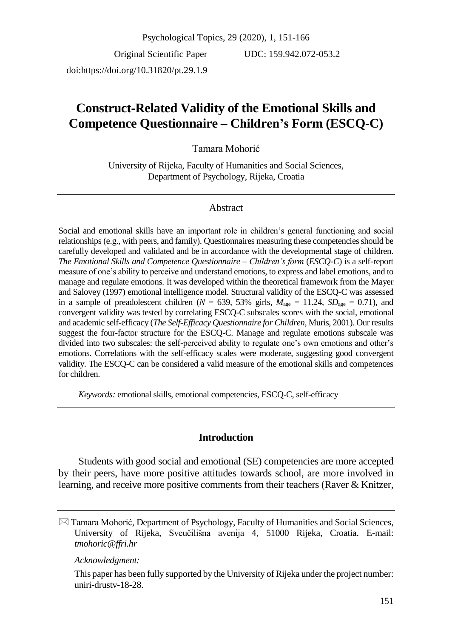Psychological Topics, 29 (2020), 1, 151-166

Original Scientific Paper

UDC: 159.942.072-053.2

doi:https://doi.org/10.31820/pt.29.1.9

# **Construct-Related Validity of the Emotional Skills and Competence Questionnaire – Children's Form (ESCQ-C)**

Tamara Mohorić

University of Rijeka, Faculty of Humanities and Social Sciences, Department of Psychology, Rijeka, Croatia

## Abstract

Social and emotional skills have an important role in children's general functioning and social relationships (e.g., with peers, and family). Questionnaires measuring these competencies should be carefully developed and validated and be in accordance with the developmental stage of children. *The Emotional Skills and Competence Questionnaire – Children's form* (*ESCQ-C*) is a self-report measure of one's ability to perceive and understand emotions, to express and label emotions, and to manage and regulate emotions. It was developed within the theoretical framework from the Mayer and Salovey (1997) emotional intelligence model. Structural validity of the ESCQ-C was assessed in a sample of preadolescent children ( $N = 639$ , 53% girls,  $M_{\text{age}} = 11.24$ ,  $SD_{\text{age}} = 0.71$ ), and convergent validity was tested by correlating ESCQ-C subscales scores with the social, emotional and academic self-efficacy (*The Self-Efficacy Questionnaire for Children*, Muris, 2001). Our results suggest the four-factor structure for the ESCQ-C. Manage and regulate emotions subscale was divided into two subscales: the self-perceived ability to regulate one's own emotions and other's emotions. Correlations with the self-efficacy scales were moderate, suggesting good convergent validity. The ESCQ-C can be considered a valid measure of the emotional skills and competences for children.

*Keywords:* emotional skills, emotional competencies, ESCQ-C, self-efficacy

### **Introduction**

Students with good social and emotional (SE) competencies are more accepted by their peers, have more positive attitudes towards school, are more involved in learning, and receive more positive comments from their teachers (Raver & Knitzer,

 $\boxtimes$  Tamara Mohorić, Department of Psychology, Faculty of Humanities and Social Sciences, University of Rijeka, Sveučilišna avenija 4, 51000 Rijeka, Croatia. E-mail: *tmohoric@ffri.hr*

*Acknowledgment:*

This paper has been fully supported by the University of Rijeka under the project number: uniri-drustv-18-28.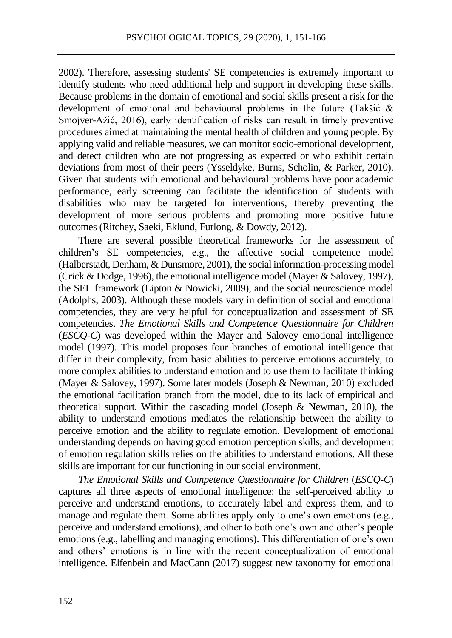2002). Therefore, assessing students' SE competencies is extremely important to identify students who need additional help and support in developing these skills. Because problems in the domain of emotional and social skills present a risk for the development of emotional and behavioural problems in the future (Takšić & Smojver-Ažić, 2016), early identification of risks can result in timely preventive procedures aimed at maintaining the mental health of children and young people. By applying valid and reliable measures, we can monitor socio-emotional development, and detect children who are not progressing as expected or who exhibit certain deviations from most of their peers (Ysseldyke, Burns, Scholin, & Parker, 2010). Given that students with emotional and behavioural problems have poor academic performance, early screening can facilitate the identification of students with disabilities who may be targeted for interventions, thereby preventing the development of more serious problems and promoting more positive future outcomes (Ritchey, Saeki, Eklund, Furlong, & Dowdy, 2012).

There are several possible theoretical frameworks for the assessment of children's SE competencies, e.g., the affective social competence model (Halberstadt, Denham, & Dunsmore, 2001), the social information-processing model (Crick & Dodge, 1996), the emotional intelligence model (Mayer  $\&$  Salovey, 1997), the SEL framework (Lipton & Nowicki, 2009), and the social neuroscience model (Adolphs, 2003). Although these models vary in definition of social and emotional competencies, they are very helpful for conceptualization and assessment of SE competencies. *The Emotional Skills and Competence Questionnaire for Children* (*ESCQ-C*) was developed within the Mayer and Salovey emotional intelligence model (1997). This model proposes four branches of emotional intelligence that differ in their complexity, from basic abilities to perceive emotions accurately, to more complex abilities to understand emotion and to use them to facilitate thinking (Mayer & Salovey, 1997). Some later models (Joseph & Newman, 2010) excluded the emotional facilitation branch from the model, due to its lack of empirical and theoretical support. Within the cascading model (Joseph & Newman, 2010), the ability to understand emotions mediates the relationship between the ability to perceive emotion and the ability to regulate emotion. Development of emotional understanding depends on having good emotion perception skills, and development of emotion regulation skills relies on the abilities to understand emotions. All these skills are important for our functioning in our social environment.

*The Emotional Skills and Competence Questionnaire for Children* (*ESCQ-C*) captures all three aspects of emotional intelligence: the self-perceived ability to perceive and understand emotions, to accurately label and express them, and to manage and regulate them. Some abilities apply only to one's own emotions (e.g., perceive and understand emotions), and other to both one's own and other's people emotions (e.g., labelling and managing emotions). This differentiation of one's own and others' emotions is in line with the recent conceptualization of emotional intelligence. Elfenbein and MacCann (2017) suggest new taxonomy for emotional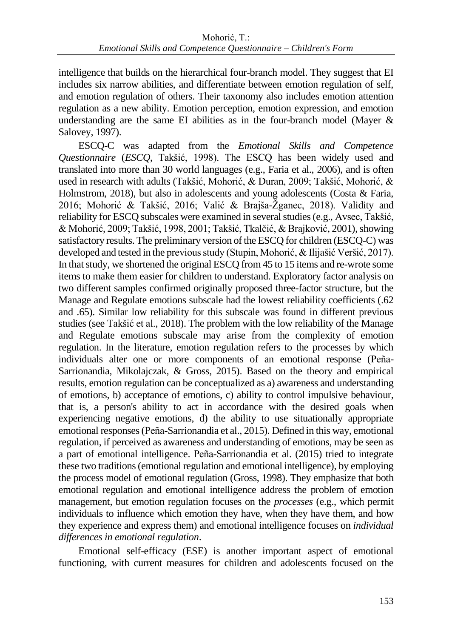intelligence that builds on the hierarchical four-branch model. They suggest that EI includes six narrow abilities, and differentiate between emotion regulation of self, and emotion regulation of others. Their taxonomy also includes emotion attention regulation as a new ability. Emotion perception, emotion expression, and emotion understanding are the same EI abilities as in the four-branch model (Mayer  $\&$ Salovey, 1997).

ESCQ-C was adapted from the *Emotional Skills and Competence Questionnaire* (*ESCQ*, Takšić, 1998). The ESCQ has been widely used and translated into more than 30 world languages (e.g., Faria et al., 2006), and is often used in research with adults (Takšić, Mohorić, & Duran, 2009; Takšić, Mohorić, & Holmstrom, 2018), but also in adolescents and young adolescents (Costa & Faria, 2016; Mohorić & Takšić, 2016; Valić & Brajša-Žganec, 2018). Validity and reliability for ESCQ subscales were examined in several studies (e.g., Avsec, Takšić, & Mohorić, 2009; Takšić, 1998, 2001; Takšić, Tkalčić, & Brajković, 2001), showing satisfactory results. The preliminary version of the ESCQ for children (ESCQ-C) was developed and tested in the previous study (Stupin, Mohorić, & Ilijašić Veršić, 2017). In that study, we shortened the original ESCQ from 45 to 15 items and re-wrote some items to make them easier for children to understand. Exploratory factor analysis on two different samples confirmed originally proposed three-factor structure, but the Manage and Regulate emotions subscale had the lowest reliability coefficients (.62 and .65). Similar low reliability for this subscale was found in different previous studies (see Takšić et al., 2018). The problem with the low reliability of the Manage and Regulate emotions subscale may arise from the complexity of emotion regulation. In the literature, emotion regulation refers to the processes by which individuals alter one or more components of an emotional response (Peña-Sarrionandia, Mikolajczak, & Gross, 2015). Based on the theory and empirical results, emotion regulation can be conceptualized as a) awareness and understanding of emotions, b) acceptance of emotions, c) ability to control impulsive behaviour, that is, a person's ability to act in accordance with the desired goals when experiencing negative emotions, d) the ability to use situationally appropriate emotional responses (Peña-Sarrionandia et al., 2015). Defined in this way, emotional regulation, if perceived as awareness and understanding of emotions, may be seen as a part of emotional intelligence. Peña-Sarrionandia et al. (2015) tried to integrate these two traditions(emotional regulation and emotional intelligence), by employing the process model of emotional regulation (Gross, 1998). They emphasize that both emotional regulation and emotional intelligence address the problem of emotion management, but emotion regulation focuses on the *processes* (e.g., which permit individuals to influence which emotion they have, when they have them, and how they experience and express them) and emotional intelligence focuses on *individual differences in emotional regulation*.

Emotional self-efficacy (ESE) is another important aspect of emotional functioning, with current measures for children and adolescents focused on the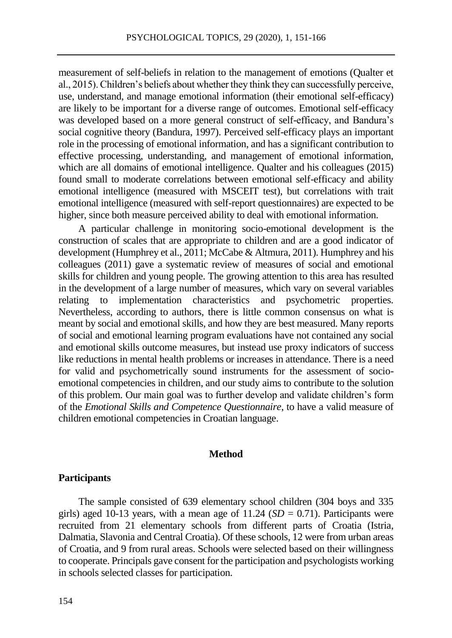measurement of self-beliefs in relation to the management of emotions (Qualter et al., 2015). Children's beliefs about whether they think they can successfully perceive, use, understand, and manage emotional information (their emotional self-efficacy) are likely to be important for a diverse range of outcomes. Emotional self-efficacy was developed based on a more general construct of self-efficacy, and Bandura's social cognitive theory (Bandura, 1997). Perceived self-efficacy plays an important role in the processing of emotional information, and has a significant contribution to effective processing, understanding, and management of emotional information, which are all domains of emotional intelligence. Qualter and his colleagues (2015) found small to moderate correlations between emotional self-efficacy and ability emotional intelligence (measured with MSCEIT test), but correlations with trait emotional intelligence (measured with self-report questionnaires) are expected to be higher, since both measure perceived ability to deal with emotional information.

A particular challenge in monitoring socio-emotional development is the construction of scales that are appropriate to children and are a good indicator of development (Humphrey et al., 2011; McCabe & Altmura, 2011). Humphrey and his colleagues (2011) gave a systematic review of measures of social and emotional skills for children and young people. The growing attention to this area has resulted in the development of a large number of measures, which vary on several variables relating to implementation characteristics and psychometric properties. Nevertheless, according to authors, there is little common consensus on what is meant by social and emotional skills, and how they are best measured. Many reports of social and emotional learning program evaluations have not contained any social and emotional skills outcome measures, but instead use proxy indicators of success like reductions in mental health problems or increases in attendance. There is a need for valid and psychometrically sound instruments for the assessment of socioemotional competencies in children, and our study aims to contribute to the solution of this problem. Our main goal was to further develop and validate children's form of the *Emotional Skills and Competence Questionnaire*, to have a valid measure of children emotional competencies in Croatian language.

## **Method**

#### **Participants**

The sample consisted of 639 elementary school children (304 boys and 335 girls) aged 10-13 years, with a mean age of  $11.24$  ( $SD = 0.71$ ). Participants were recruited from 21 elementary schools from different parts of Croatia (Istria, Dalmatia, Slavonia and Central Croatia). Of these schools, 12 were from urban areas of Croatia, and 9 from rural areas. Schools were selected based on their willingness to cooperate. Principals gave consent for the participation and psychologists working in schools selected classes for participation.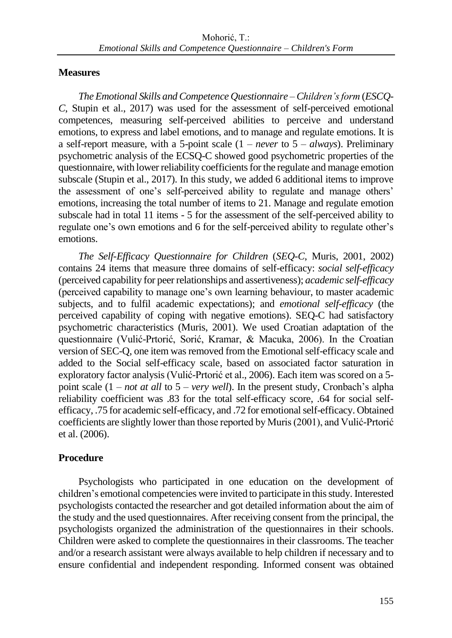## **Measures**

*The Emotional Skills and Competence Questionnaire –Children's form* (*ESCQ-C*, Stupin et al., 2017) was used for the assessment of self-perceived emotional competences, measuring self-perceived abilities to perceive and understand emotions, to express and label emotions, and to manage and regulate emotions. It is a self-report measure, with a 5-point scale (1 – *never* to 5 – *always*). Preliminary psychometric analysis of the ECSQ-C showed good psychometric properties of the questionnaire, with lower reliability coefficients for the regulate and manage emotion subscale (Stupin et al., 2017). In this study, we added 6 additional items to improve the assessment of one's self-perceived ability to regulate and manage others' emotions, increasing the total number of items to 21. Manage and regulate emotion subscale had in total 11 items - 5 for the assessment of the self-perceived ability to regulate one's own emotions and 6 for the self-perceived ability to regulate other's emotions.

*The Self-Efficacy Questionnaire for Children* (*SEQ-C*, Muris, 2001, 2002) contains 24 items that measure three domains of self-efficacy: *social self-efficacy* (perceived capability for peer relationships and assertiveness); *academic self-efficacy* (perceived capability to manage one's own learning behaviour, to master academic subjects, and to fulfil academic expectations); and *emotional self-efficacy* (the perceived capability of coping with negative emotions). SEQ-C had satisfactory psychometric characteristics (Muris, 2001). We used Croatian adaptation of the questionnaire (Vulić-Prtorić, Sorić, Kramar, & Macuka, 2006). In the Croatian version of SEC-Q, one item was removed from the Emotional self-efficacy scale and added to the Social self-efficacy scale, based on associated factor saturation in exploratory factor analysis (Vulić-Prtorić et al., 2006). Each item was scored on a 5 point scale (1 – *not at all* to 5 – *very well*). In the present study, Cronbach's alpha reliability coefficient was .83 for the total self-efficacy score, .64 for social selfefficacy, .75 for academic self-efficacy, and .72 for emotional self-efficacy. Obtained coefficients are slightly lower than those reported by Muris (2001), and Vulić-Prtorić et al. (2006).

## **Procedure**

Psychologists who participated in one education on the development of children's emotional competencies were invited to participate in thisstudy. Interested psychologists contacted the researcher and got detailed information about the aim of the study and the used questionnaires. After receiving consent from the principal, the psychologists organized the administration of the questionnaires in their schools. Children were asked to complete the questionnaires in their classrooms. The teacher and/or a research assistant were always available to help children if necessary and to ensure confidential and independent responding. Informed consent was obtained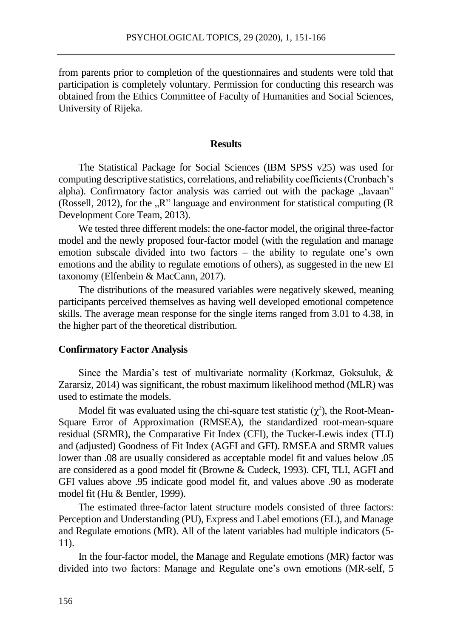from parents prior to completion of the questionnaires and students were told that participation is completely voluntary. Permission for conducting this research was obtained from the Ethics Committee of Faculty of Humanities and Social Sciences, University of Rijeka.

#### **Results**

The Statistical Package for Social Sciences (IBM SPSS v25) was used for computing descriptive statistics, correlations, and reliability coefficients (Cronbach's alpha). Confirmatory factor analysis was carried out with the package "lavaan" (Rossell, 2012), for the  $\mathbb{R}^n$  language and environment for statistical computing (R) Development Core Team, 2013).

We tested three different models: the one-factor model, the original three-factor model and the newly proposed four-factor model (with the regulation and manage emotion subscale divided into two factors – the ability to regulate one's own emotions and the ability to regulate emotions of others), as suggested in the new EI taxonomy (Elfenbein & MacCann, 2017).

The distributions of the measured variables were negatively skewed, meaning participants perceived themselves as having well developed emotional competence skills. The average mean response for the single items ranged from 3.01 to 4.38, in the higher part of the theoretical distribution.

### **Confirmatory Factor Analysis**

Since the Mardia's test of multivariate normality (Korkmaz, Goksuluk, & Zararsiz, 2014) was significant, the robust maximum likelihood method (MLR) was used to estimate the models.

Model fit was evaluated using the chi-square test statistic  $(\chi^2)$ , the Root-Mean-Square Error of Approximation (RMSEA), the standardized root-mean-square residual (SRMR), the Comparative Fit Index (CFI), the Tucker-Lewis index (TLI) and (adjusted) Goodness of Fit Index (AGFI and GFI). RMSEA and SRMR values lower than .08 are usually considered as acceptable model fit and values below .05 are considered as a good model fit (Browne & Cudeck, 1993). CFI, TLI, AGFI and GFI values above .95 indicate good model fit, and values above .90 as moderate model fit (Hu & Bentler, 1999).

The estimated three-factor latent structure models consisted of three factors: Perception and Understanding (PU), Express and Label emotions (EL), and Manage and Regulate emotions (MR). All of the latent variables had multiple indicators (5- 11).

In the four-factor model, the Manage and Regulate emotions (MR) factor was divided into two factors: Manage and Regulate one's own emotions (MR-self, 5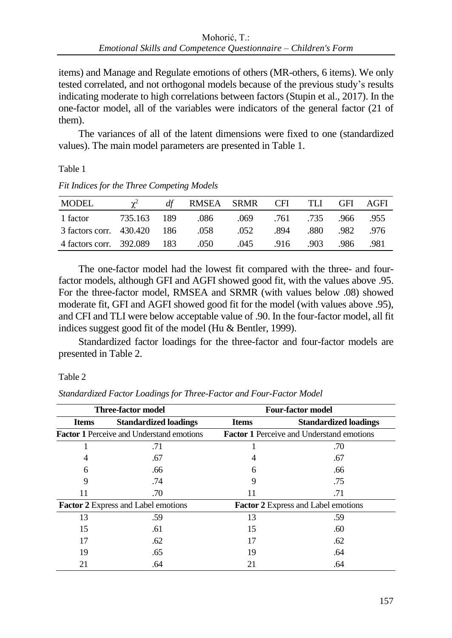items) and Manage and Regulate emotions of others (MR-others, 6 items). We only tested correlated, and not orthogonal models because of the previous study's results indicating moderate to high correlations between factors (Stupin et al., 2017). In the one-factor model, all of the variables were indicators of the general factor (21 of them).

The variances of all of the latent dimensions were fixed to one (standardized values). The main model parameters are presented in Table 1.

Table 1

| MODEL                       | $\gamma^2$  | df RMSEA SRMR CFI TLI |                |       |      |             | GFI AGFI |
|-----------------------------|-------------|-----------------------|----------------|-------|------|-------------|----------|
| 1 factor                    | 735.163 189 | .086                  | .069 .761 .735 |       |      | - 966 - 955 |          |
| 3 factors corr. 430.420 186 |             | .058                  | .052           | .894  | .880 | .982        | - 976    |
| 4 factors corr. 392.089 183 |             | .050                  | .045           | .916. | .903 | .986        | -981     |

*Fit Indices for the Three Competing Models*

The one-factor model had the lowest fit compared with the three- and fourfactor models, although GFI and AGFI showed good fit, with the values above .95. For the three-factor model, RMSEA and SRMR (with values below .08) showed moderate fit, GFI and AGFI showed good fit for the model (with values above .95), and CFI and TLI were below acceptable value of .90. In the four-factor model, all fit indices suggest good fit of the model (Hu & Bentler, 1999).

Standardized factor loadings for the three-factor and four-factor models are presented in Table 2.

## Table 2

|              | <b>Three-factor model</b>                        | <b>Four-factor model</b>                         |                              |  |  |  |
|--------------|--------------------------------------------------|--------------------------------------------------|------------------------------|--|--|--|
| <b>Items</b> | <b>Standardized loadings</b>                     | <b>Items</b>                                     | <b>Standardized loadings</b> |  |  |  |
|              | <b>Factor 1</b> Perceive and Understand emotions | <b>Factor 1</b> Perceive and Understand emotions |                              |  |  |  |
|              | .71                                              |                                                  | .70                          |  |  |  |
| 4            | .67                                              |                                                  | .67                          |  |  |  |
| 6            | .66                                              | 6                                                | .66                          |  |  |  |
| Q            | .74                                              |                                                  | .75                          |  |  |  |
| 11           | .70                                              | 11                                               | .71                          |  |  |  |
|              | <b>Factor 2</b> Express and Label emotions       | <b>Factor 2</b> Express and Label emotions       |                              |  |  |  |
| 13           | .59                                              | 13                                               | .59                          |  |  |  |
| 15           | .61                                              | 15                                               | .60                          |  |  |  |
| 17           | .62                                              | 17                                               | .62                          |  |  |  |
| 19           | .65                                              | 19                                               | .64                          |  |  |  |
| 21           | .64                                              | 21                                               | .64                          |  |  |  |

*Standardized Factor Loadings for Three-Factor and Four-Factor Model*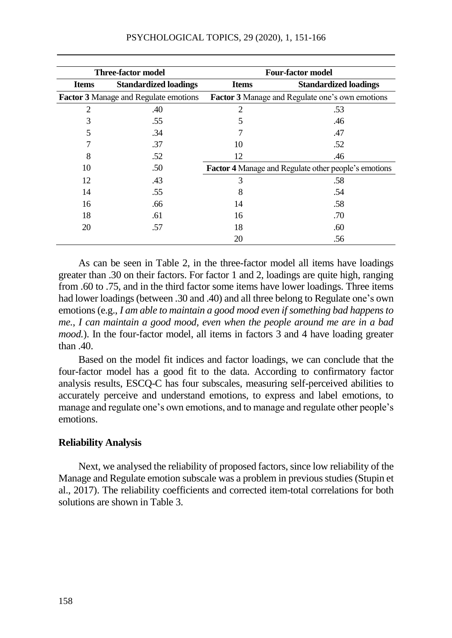|                | <b>Three-factor model</b>                    | <b>Four-factor model</b> |                                                             |  |  |
|----------------|----------------------------------------------|--------------------------|-------------------------------------------------------------|--|--|
| <b>Items</b>   | <b>Standardized loadings</b>                 | <b>Items</b>             | <b>Standardized loadings</b>                                |  |  |
|                | <b>Factor 3</b> Manage and Regulate emotions |                          | <b>Factor 3</b> Manage and Regulate one's own emotions      |  |  |
| $\overline{2}$ | .40                                          | $\overline{2}$           | .53                                                         |  |  |
| 3              | .55                                          | 5                        | .46                                                         |  |  |
| 5              | .34                                          |                          | .47                                                         |  |  |
|                | .37                                          | 10                       | .52                                                         |  |  |
| 8              | .52                                          | 12                       | .46                                                         |  |  |
| 10             | .50                                          |                          | <b>Factor 4</b> Manage and Regulate other people's emotions |  |  |
| 12             | .43                                          | 3                        | .58                                                         |  |  |
| 14             | .55                                          | 8                        | .54                                                         |  |  |
| 16             | .66                                          | 14                       | .58                                                         |  |  |
| 18             | .61                                          | 16                       | .70                                                         |  |  |
| 20             | .57                                          | 18                       | .60                                                         |  |  |
|                |                                              | 20                       | .56                                                         |  |  |

As can be seen in Table 2, in the three-factor model all items have loadings greater than .30 on their factors. For factor 1 and 2, loadings are quite high, ranging from .60 to .75, and in the third factor some items have lower loadings. Three items had lower loadings (between .30 and .40) and all three belong to Regulate one's own emotions (e.g., *I am able to maintain a good mood even if something bad happens to me.*, *I can maintain a good mood, even when the people around me are in a bad mood.*). In the four-factor model, all items in factors 3 and 4 have loading greater than  $40$ 

Based on the model fit indices and factor loadings, we can conclude that the four-factor model has a good fit to the data. According to confirmatory factor analysis results, ESCQ-C has four subscales, measuring self-perceived abilities to accurately perceive and understand emotions, to express and label emotions, to manage and regulate one's own emotions, and to manage and regulate other people's emotions.

### **Reliability Analysis**

Next, we analysed the reliability of proposed factors, since low reliability of the Manage and Regulate emotion subscale was a problem in previous studies (Stupin et al., 2017). The reliability coefficients and corrected item-total correlations for both solutions are shown in Table 3.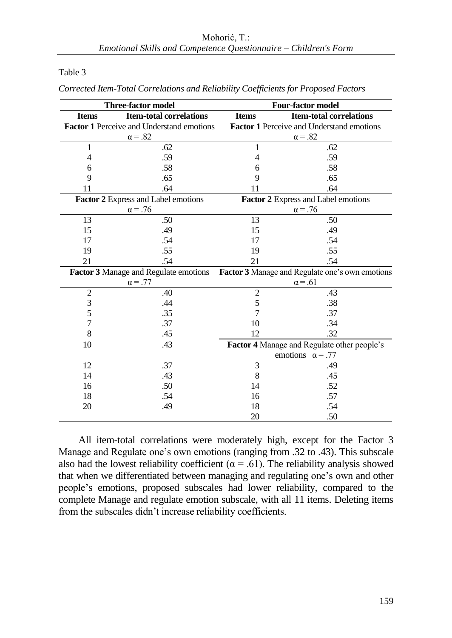Table 3

|                | Three-factor model                        | Four-factor model                         |                                                 |  |  |
|----------------|-------------------------------------------|-------------------------------------------|-------------------------------------------------|--|--|
| <b>Items</b>   | <b>Item-total correlations</b>            | <b>Items</b>                              | <b>Item-total correlations</b>                  |  |  |
|                | Factor 1 Perceive and Understand emotions | Factor 1 Perceive and Understand emotions |                                                 |  |  |
|                | $\alpha = .82$                            | $\alpha = .82$                            |                                                 |  |  |
| 1              | .62                                       | 1                                         | .62                                             |  |  |
| 4              | .59                                       | 4                                         | .59                                             |  |  |
| 6              | .58                                       | 6                                         | .58                                             |  |  |
| 9              | .65                                       | 9                                         | .65                                             |  |  |
| 11             | .64                                       | 11                                        | .64                                             |  |  |
|                | Factor 2 Express and Label emotions       |                                           | Factor 2 Express and Label emotions             |  |  |
|                | $\alpha = .76$                            |                                           | $\alpha = .76$                                  |  |  |
| 13             | .50                                       | 13                                        | .50                                             |  |  |
| 15             | .49                                       | 15                                        | .49                                             |  |  |
| 17             | .54                                       | 17                                        | .54                                             |  |  |
| 19             | .55                                       | 19                                        | .55                                             |  |  |
| 21             | .54                                       | 21                                        | .54                                             |  |  |
|                | Factor 3 Manage and Regulate emotions     |                                           | Factor 3 Manage and Regulate one's own emotions |  |  |
|                | $\alpha = .77$                            |                                           | $\alpha$ = .61                                  |  |  |
| $\overline{c}$ | .40                                       | $\overline{c}$                            | .43                                             |  |  |
| 3              | .44                                       | 5                                         | .38                                             |  |  |
| 5              | .35                                       |                                           | .37                                             |  |  |
| 7              | .37                                       | 10                                        | .34                                             |  |  |
| 8              | .45                                       | 12                                        | .32                                             |  |  |
| 10             | .43                                       |                                           | Factor 4 Manage and Regulate other people's     |  |  |
|                |                                           |                                           | emotions $\alpha = .77$                         |  |  |
| 12             | .37                                       | 3                                         | .49                                             |  |  |
| 14             | .43                                       | 8                                         | .45                                             |  |  |
| 16             | .50                                       | 14                                        | .52                                             |  |  |
| 18             | .54                                       | 16                                        | .57                                             |  |  |
| 20             | .49                                       | 18                                        | .54                                             |  |  |
|                |                                           | 20                                        | .50                                             |  |  |

*Corrected Item-Total Correlations and Reliability Coefficients for Proposed Factors*

All item-total correlations were moderately high, except for the Factor 3 Manage and Regulate one's own emotions (ranging from .32 to .43). This subscale also had the lowest reliability coefficient ( $\alpha = .61$ ). The reliability analysis showed that when we differentiated between managing and regulating one's own and other people's emotions, proposed subscales had lower reliability, compared to the complete Manage and regulate emotion subscale, with all 11 items. Deleting items from the subscales didn't increase reliability coefficients.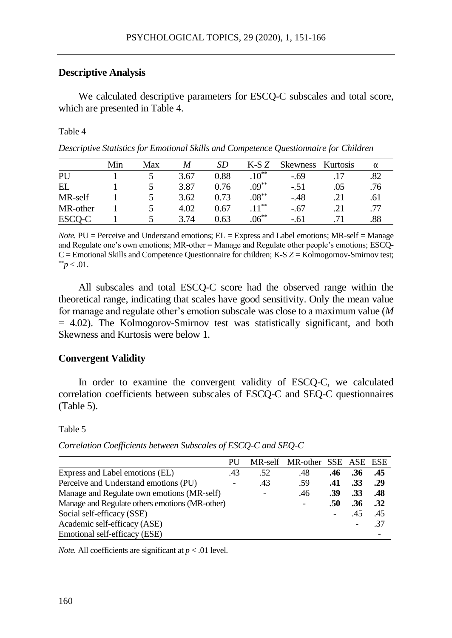#### **Descriptive Analysis**

We calculated descriptive parameters for ESCO-C subscales and total score, which are presented in Table 4.

Table 4

*Descriptive Statistics for Emotional Skills and Competence Questionnaire for Children*

|           | Min | Max | M    | SD   | K-S Z      | <b>Skewness</b> | Kurtosis | α   |
|-----------|-----|-----|------|------|------------|-----------------|----------|-----|
| <b>PU</b> |     |     | 3.67 | 0.88 | $.10^{**}$ | $-.69$          |          | .82 |
| EL        |     |     | 3.87 | 0.76 | $.09***$   | $-.51$          | .05      | .76 |
| MR-self   |     |     | 3.62 | 0.73 | $.08***$   | $-.48$          | .21      | .61 |
| MR-other  |     |     | 4.02 | 0.67 | $11***$    | $-.67$          | .21      | .77 |
| ESCO-C    |     |     | 3.74 | 0.63 | $06^{**}$  | $-61$           |          | .88 |

*Note.*  $PU =$  Perceive and Understand emotions;  $EL =$  Express and Label emotions;  $MR$ -self = Manage and Regulate one's own emotions; MR-other = Manage and Regulate other people's emotions; ESCQ-C = Emotional Skills and Competence Questionnaire for children; K-S *Z* = Kolmogornov-Smirnov test;  $*^*p < .01$ .

All subscales and total ESCQ-C score had the observed range within the theoretical range, indicating that scales have good sensitivity. Only the mean value for manage and regulate other's emotion subscale was close to a maximum value (*M*  $= 4.02$ ). The Kolmogorov-Smirnov test was statistically significant, and both Skewness and Kurtosis were below 1.

## **Convergent Validity**

In order to examine the convergent validity of ESCQ-C, we calculated correlation coefficients between subscales of ESCQ-C and SEQ-C questionnaires (Table 5).

Table 5

*Correlation Coefficients between Subscales of ESCQ-C and SEQ-C*

|                                                | PU  |     | MR-self MR-other SSE ASE ESE |                          |     |     |
|------------------------------------------------|-----|-----|------------------------------|--------------------------|-----|-----|
| Express and Label emotions (EL)                | .43 | .52 | .48                          | .46                      | .36 | .45 |
| Perceive and Understand emotions (PU)          |     | .43 | .59                          | .41                      | .33 | .29 |
| Manage and Regulate own emotions (MR-self)     |     |     | .46                          | .39                      | .33 | .48 |
| Manage and Regulate others emotions (MR-other) |     |     |                              | .50                      | .36 | .32 |
| Social self-efficacy (SSE)                     |     |     |                              | $\overline{\phantom{0}}$ | 45  | .45 |
| Academic self-efficacy (ASE)                   |     |     |                              |                          |     | .37 |
| Emotional self-efficacy (ESE)                  |     |     |                              |                          |     |     |

*Note.* All coefficients are significant at  $p < .01$  level.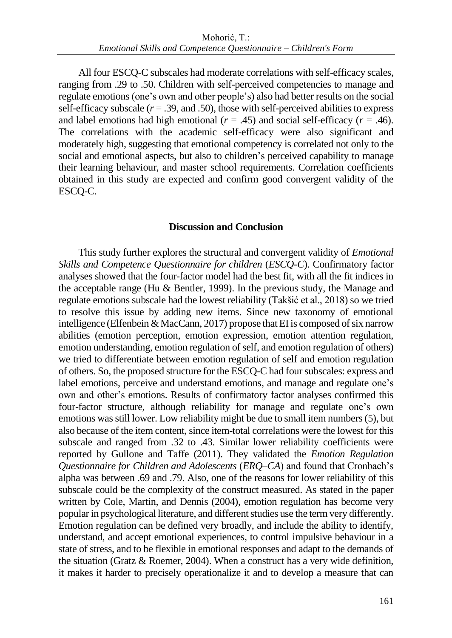All four ESCQ-C subscales had moderate correlations with self-efficacy scales, ranging from .29 to .50. Children with self-perceived competencies to manage and regulate emotions(one's own and other people's) also had better results on the social self-efficacy subscale  $(r = .39, \text{ and } .50)$ , those with self-perceived abilities to express and label emotions had high emotional  $(r = .45)$  and social self-efficacy  $(r = .46)$ . The correlations with the academic self-efficacy were also significant and moderately high, suggesting that emotional competency is correlated not only to the social and emotional aspects, but also to children's perceived capability to manage their learning behaviour, and master school requirements. Correlation coefficients obtained in this study are expected and confirm good convergent validity of the ESCQ-C.

## **Discussion and Conclusion**

This study further explores the structural and convergent validity of *Emotional Skills and Competence Questionnaire for children* (*ESCQ-C*). Confirmatory factor analyses showed that the four-factor model had the best fit, with all the fit indices in the acceptable range (Hu & Bentler, 1999). In the previous study, the Manage and regulate emotions subscale had the lowest reliability (Takšić et al., 2018) so we tried to resolve this issue by adding new items. Since new taxonomy of emotional intelligence (Elfenbein & MacCann, 2017) propose that EI is composed of six narrow abilities (emotion perception, emotion expression, emotion attention regulation, emotion understanding, emotion regulation of self, and emotion regulation of others) we tried to differentiate between emotion regulation of self and emotion regulation of others. So, the proposed structure for the ESCQ-C had four subscales: express and label emotions, perceive and understand emotions, and manage and regulate one's own and other's emotions. Results of confirmatory factor analyses confirmed this four-factor structure, although reliability for manage and regulate one's own emotions wasstill lower. Low reliability might be due to small item numbers (5), but also because of the item content, since item-total correlations were the lowest for this subscale and ranged from .32 to .43. Similar lower reliability coefficients were reported by Gullone and Taffe (2011). They validated the *Emotion Regulation Questionnaire for Children and Adolescents* (*ERQ–CA*) and found that Cronbach's alpha was between .69 and .79. Also, one of the reasons for lower reliability of this subscale could be the complexity of the construct measured. As stated in the paper written by Cole, Martin, and Dennis (2004), emotion regulation has become very popular in psychological literature, and different studies use the term very differently. Emotion regulation can be defined very broadly, and include the ability to identify, understand, and accept emotional experiences, to control impulsive behaviour in a state of stress, and to be flexible in emotional responses and adapt to the demands of the situation (Gratz & Roemer, 2004). When a construct has a very wide definition, it makes it harder to precisely operationalize it and to develop a measure that can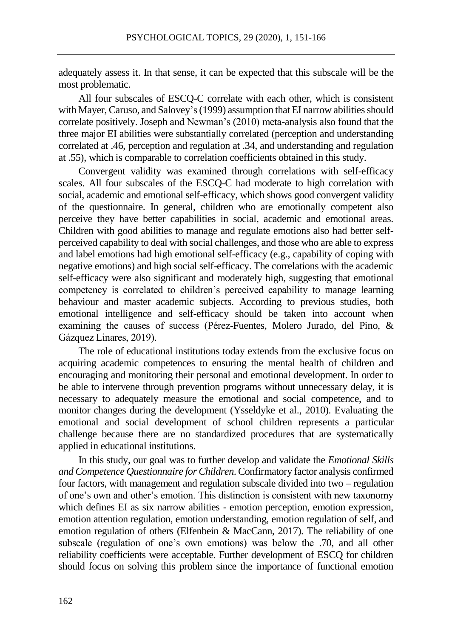adequately assess it. In that sense, it can be expected that this subscale will be the most problematic.

All four subscales of ESCQ-C correlate with each other, which is consistent with Mayer, Caruso, and Salovey's (1999) assumption that EI narrow abilities should correlate positively. Joseph and Newman's (2010) meta-analysis also found that the three major EI abilities were substantially correlated (perception and understanding correlated at .46, perception and regulation at .34, and understanding and regulation at .55), which is comparable to correlation coefficients obtained in this study.

Convergent validity was examined through correlations with self-efficacy scales. All four subscales of the ESCQ-C had moderate to high correlation with social, academic and emotional self-efficacy, which shows good convergent validity of the questionnaire. In general, children who are emotionally competent also perceive they have better capabilities in social, academic and emotional areas. Children with good abilities to manage and regulate emotions also had better selfperceived capability to deal with social challenges, and those who are able to express and label emotions had high emotional self-efficacy (e.g., capability of coping with negative emotions) and high social self-efficacy. The correlations with the academic self-efficacy were also significant and moderately high, suggesting that emotional competency is correlated to children's perceived capability to manage learning behaviour and master academic subjects. According to previous studies, both emotional intelligence and self-efficacy should be taken into account when examining the causes of success (Pérez-Fuentes, Molero Jurado, del Pino, & Gázquez Linares, 2019).

The role of educational institutions today extends from the exclusive focus on acquiring academic competences to ensuring the mental health of children and encouraging and monitoring their personal and emotional development. In order to be able to intervene through prevention programs without unnecessary delay, it is necessary to adequately measure the emotional and social competence, and to monitor changes during the development (Ysseldyke et al., 2010). Evaluating the emotional and social development of school children represents a particular challenge because there are no standardized procedures that are systematically applied in educational institutions.

In this study, our goal was to further develop and validate the *Emotional Skills and Competence Questionnaire for Children*. Confirmatory factor analysis confirmed four factors, with management and regulation subscale divided into two – regulation of one's own and other's emotion. This distinction is consistent with new taxonomy which defines EI as six narrow abilities - emotion perception, emotion expression, emotion attention regulation, emotion understanding, emotion regulation of self, and emotion regulation of others (Elfenbein & MacCann, 2017). The reliability of one subscale (regulation of one's own emotions) was below the .70, and all other reliability coefficients were acceptable. Further development of ESCQ for children should focus on solving this problem since the importance of functional emotion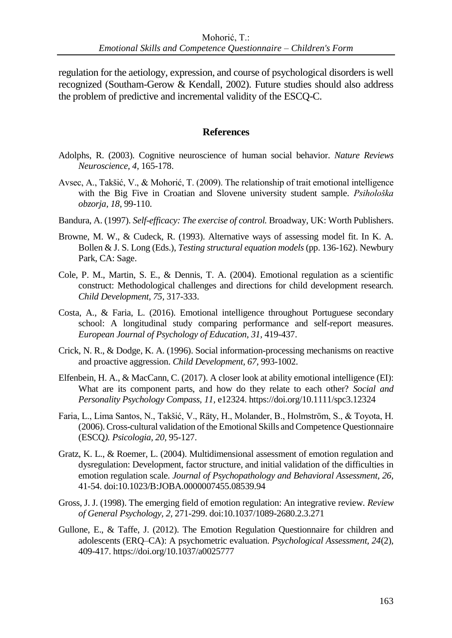regulation for the aetiology, expression, and course of psychological disorders is well recognized (Southam-Gerow & Kendall, 2002). Future studies should also address the problem of predictive and incremental validity of the ESCQ-C.

### **References**

- Adolphs, R. (2003). Cognitive neuroscience of human social behavior. *Nature Reviews Neuroscience, 4,* 165-178.
- Avsec, A., Takšić, V., & Mohorić, T. (2009). The relationship of trait emotional intelligence with the Big Five in Croatian and Slovene university student sample. *Psihološka obzorja, 18*, 99-110.
- Bandura, A. (1997). *Self-efficacy: The exercise of control.* Broadway, UK: Worth Publishers.
- Browne, M. W., & Cudeck, R. (1993). Alternative ways of assessing model fit. In K. A. Bollen & J. S. Long (Eds.), *Testing structural equation models* (pp. 136-162). Newbury Park, CA: Sage.
- Cole, P. M., Martin, S. E., & Dennis, T. A. (2004). Emotional regulation as a scientific construct: Methodological challenges and directions for child development research. *Child Development, 75,* 317-333.
- Costa, A., & Faria, L. (2016). Emotional intelligence throughout Portuguese secondary school: A longitudinal study comparing performance and self-report measures. *European Journal of Psychology of Education, 31,* 419-437.
- Crick, N. R., & Dodge, K. A. (1996). Social information-processing mechanisms on reactive and proactive aggression. *Child Development, 67,* 993-1002.
- Elfenbein, H. A., & MacCann, C. (2017). A closer look at ability emotional intelligence (EI): What are its component parts, and how do they relate to each other? *Social and Personality Psychology Compass, 11,* e12324. https://doi.org/10.1111/spc3.12324
- Faria, L., Lima Santos, N., Takšić, V., Räty, H., Molander, B., Holmström, S., & Toyota, H. (2006). Cross-cultural validation of the Emotional Skills and Competence Questionnaire (ESCQ*). Psicologia, 20*, 95-127.
- Gratz, K. L., & Roemer, L. (2004). Multidimensional assessment of emotion regulation and dysregulation: Development, factor structure, and initial validation of the difficulties in emotion regulation scale. *Journal of Psychopathology and Behavioral Assessment, 26*, 41-54. doi:10.1023/B:JOBA.0000007455.08539.94
- Gross, J. J. (1998). The emerging field of emotion regulation: An integrative review. *Review of General Psychology, 2,* 271-299. doi:10.1037/1089-2680.2.3.271
- Gullone, E., & Taffe, J. (2012). The Emotion Regulation Questionnaire for children and adolescents (ERQ–CA): A psychometric evaluation. *Psychological Assessment, 24*(2), 409-417. https://doi.org/10.1037/a0025777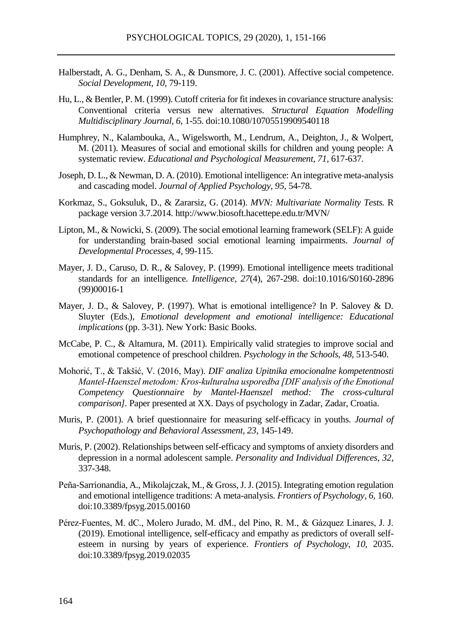- Halberstadt, A. G., Denham, S. A., & Dunsmore, J. C. (2001). Affective social competence. *Social Development, 10,* 79-119.
- Hu, L., & Bentler, P. M. (1999). Cutoff criteria for fit indexes in covariance structure analysis: Conventional criteria versus new alternatives. *Structural Equation Modelling Multidisciplinary Journal, 6*, 1-55. doi:10.1080/10705519909540118
- Humphrey, N., Kalambouka, A., Wigelsworth, M., Lendrum, A., Deighton, J., & Wolpert, M. (2011). Measures of social and emotional skills for children and young people: A systematic review. *Educational and Psychological Measurement, 71,* 617-637.
- Joseph, D. L., & Newman, D. A. (2010). Emotional intelligence: An integrative meta-analysis and cascading model. *Journal of Applied Psychology, 95*, 54-78.
- Korkmaz, S., Goksuluk, D., & Zararsiz, G. (2014). *MVN: Multivariate Normality Tests.* R package version 3.7.2014. http://www.biosoft.hacettepe.edu.tr/MVN/
- Lipton, M., & Nowicki, S. (2009). The social emotional learning framework (SELF): A guide for understanding brain-based social emotional learning impairments. *Journal of Developmental Processes, 4,* 99-115.
- Mayer, J. D., Caruso, D. R., & Salovey, P. (1999). Emotional intelligence meets traditional standards for an intelligence. *Intelligence, 27*(4), 267-298. doi:10.1016/S0160-2896 (99)00016-1
- Mayer, J. D., & Salovey, P. (1997). What is emotional intelligence? In P. Salovey & D. Sluyter (Eds.), *Emotional development and emotional intelligence: Educational implications* (pp. 3-31). New York: Basic Books.
- McCabe, P. C., & Altamura, M. (2011). Empirically valid strategies to improve social and emotional competence of preschool children. *Psychology in the Schools*, *48,* 513-540.
- Mohorić, T., & Takšić, V. (2016, May). *DIF analiza Upitnika emocionalne kompetentnosti Mantel‐Haenszel metodom: Kros‐kulturalna usporedba [DIF analysis of the Emotional Competency Questionnaire by Mantel-Haenszel method: The cross-cultural comparison].* Paper presented at XX. Days of psychology in Zadar, Zadar, Croatia.
- Muris, P. (2001). A brief questionnaire for measuring self-efficacy in youths. *Journal of Psychopathology and Behavioral Assessment, 23*, 145-149.
- Muris, P. (2002). Relationships between self-efficacy and symptoms of anxiety disorders and depression in a normal adolescent sample. *Personality and Individual Differences, 32*, 337-348.
- Peña-Sarrionandia, A., Mikolajczak, M., & Gross, J. J. (2015). Integrating emotion regulation and emotional intelligence traditions: A meta-analysis. *Frontiers of Psychology, 6,* 160. doi:10.3389/fpsyg.2015.00160
- Pérez-Fuentes, M. dC., Molero Jurado, M. dM., del Pino, R. M., & Gázquez Linares, J. J. (2019). Emotional intelligence, self-efficacy and empathy as predictors of overall selfesteem in nursing by years of experience. *Frontiers of Psychology, 10*, 2035. doi:10.3389/fpsyg.2019.02035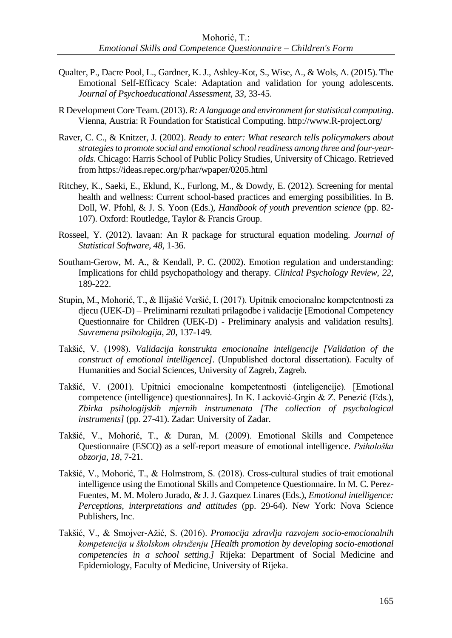- Qualter, P., Dacre Pool, L., Gardner, K. J., Ashley-Kot, S., Wise, A., & Wols, A. (2015). The Emotional Self-Efficacy Scale: Adaptation and validation for young adolescents. *Journal of Psychoeducational Assessment, 33*, 33-45.
- R Development Core Team. (2013). *R: A language and environment for statistical computing*. Vienna, Austria: R Foundation for Statistical Computing. http://www.R-project.org/
- Raver, C. C., & Knitzer, J. (2002). *Ready to enter: What research tells policymakers about strategies to promote social and emotional school readiness among three and four-yearolds*. Chicago: Harris School of Public Policy Studies, University of Chicago. Retrieved from https://ideas.repec.org/p/har/wpaper/0205.html
- Ritchey, K., Saeki, E., Eklund, K., Furlong, M., & Dowdy, E. (2012). Screening for mental health and wellness: Current school-based practices and emerging possibilities. In B. Doll, W. Pfohl, & J. S. Yoon (Eds.), *Handbook of youth prevention science* (pp. 82- 107). Oxford: Routledge, Taylor & Francis Group.
- Rosseel, Y. (2012). lavaan: An R package for structural equation modeling. *Journal of Statistical Software, 48,* 1-36.
- Southam-Gerow, M. A., & Kendall, P. C. (2002). Emotion regulation and understanding: Implications for child psychopathology and therapy. *Clinical Psychology Review, 22,* 189-222.
- Stupin, M., Mohorić, T., & Ilijašić Veršić, I. (2017). Upitnik emocionalne kompetentnosti za djecu (UEK-D) – Preliminarni rezultati prilagodbe i validacije [Emotional Competency Questionnaire for Children (UEK-D) - Preliminary analysis and validation results]. *Suvremena psihologija, 20*, 137-149.
- Takšić, V. (1998). *Validacija konstrukta emocionalne inteligencije [Validation of the construct of emotional intelligence]*. (Unpublished doctoral dissertation). Faculty of Humanities and Social Sciences, University of Zagreb, Zagreb.
- Takšić, V. (2001). Upitnici emocionalne kompetentnosti (inteligencije). [Emotional competence (intelligence) questionnaires]. In K. Lacković-Grgin & Z. Penezić (Eds*.*)*, Zbirka psihologijskih mjernih instrumenata [The collection of psychological instruments]* (pp. 27-41). Zadar: University of Zadar.
- Takšić, V., Mohorić, T., & Duran, M. (2009). Emotional Skills and Competence Questionnaire (ESCQ) as a self-report measure of emotional intelligence. *Psihološka obzorja, 18*, 7-21.
- Takšić, V., Mohorić, T., & Holmstrom, S. (2018). Cross-cultural studies of trait emotional intelligence using the Emotional Skills and Competence Questionnaire. In M. C. Perez-Fuentes, M. M. Molero Jurado, & J. J. Gazquez Linares (Eds.), *Emotional intelligence: Perceptions, interpretations and attitudes* (pp. 29-64). New York: Nova Science Publishers, Inc.
- Takšić, V., & Smojver-Ažić, S. (2016). *Promocija zdravlja razvojem socio-emocionalnih kompetencija u školskom okruženju [Health promotion by developing socio-emotional competencies in a school setting.]* Rijeka: Department of Social Medicine and Epidemiology, Faculty of Medicine, University of Rijeka.